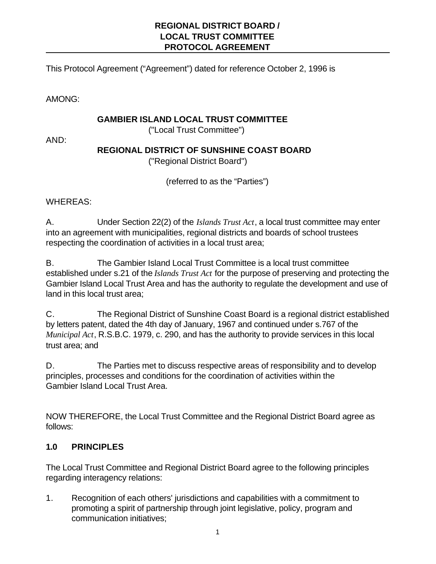## **REGIONAL DISTRICT BOARD / LOCAL TRUST COMMITTEE PROTOCOL AGREEMENT**

This Protocol Agreement ("Agreement") dated for reference October 2, 1996 is

AMONG:

#### **GAMBIER ISLAND LOCAL TRUST COMMITTEE**

("Local Trust Committee")

AND:

## **REGIONAL DISTRICT OF SUNSHINE COAST BOARD**

("Regional District Board")

(referred to as the "Parties")

## WHEREAS:

A. Under Section 22(2) of the *Islands Trust Act*, a local trust committee may enter into an agreement with municipalities, regional districts and boards of school trustees respecting the coordination of activities in a local trust area;

B. The Gambier Island Local Trust Committee is a local trust committee established under s.21 of the *Islands Trust Act* for the purpose of preserving and protecting the Gambier Island Local Trust Area and has the authority to regulate the development and use of land in this local trust area;

C. The Regional District of Sunshine Coast Board is a regional district established by letters patent, dated the 4th day of January, 1967 and continued under s.767 of the *Municipal Act*, R.S.B.C. 1979, c. 290, and has the authority to provide services in this local trust area; and

D. The Parties met to discuss respective areas of responsibility and to develop principles, processes and conditions for the coordination of activities within the Gambier Island Local Trust Area.

NOW THEREFORE, the Local Trust Committee and the Regional District Board agree as follows:

## **1.0 PRINCIPLES**

The Local Trust Committee and Regional District Board agree to the following principles regarding interagency relations:

1. Recognition of each others' jurisdictions and capabilities with a commitment to promoting a spirit of partnership through joint legislative, policy, program and communication initiatives;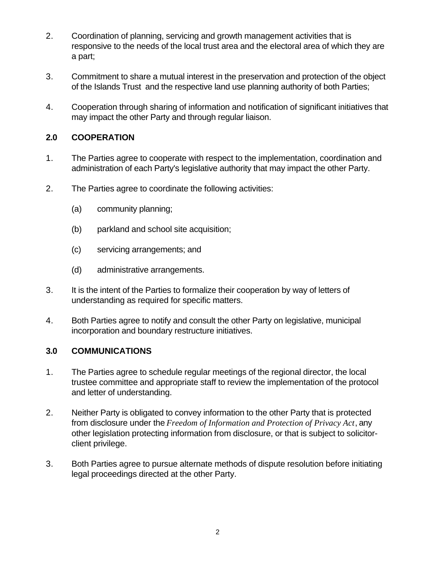- 2. Coordination of planning, servicing and growth management activities that is responsive to the needs of the local trust area and the electoral area of which they are a part;
- 3. Commitment to share a mutual interest in the preservation and protection of the object of the Islands Trust and the respective land use planning authority of both Parties;
- 4. Cooperation through sharing of information and notification of significant initiatives that may impact the other Party and through regular liaison.

# **2.0 COOPERATION**

- 1. The Parties agree to cooperate with respect to the implementation, coordination and administration of each Party's legislative authority that may impact the other Party.
- 2. The Parties agree to coordinate the following activities:
	- (a) community planning;
	- (b) parkland and school site acquisition;
	- (c) servicing arrangements; and
	- (d) administrative arrangements.
- 3. It is the intent of the Parties to formalize their cooperation by way of letters of understanding as required for specific matters.
- 4. Both Parties agree to notify and consult the other Party on legislative, municipal incorporation and boundary restructure initiatives.

## **3.0 COMMUNICATIONS**

- 1. The Parties agree to schedule regular meetings of the regional director, the local trustee committee and appropriate staff to review the implementation of the protocol and letter of understanding.
- 2. Neither Party is obligated to convey information to the other Party that is protected from disclosure under the *Freedom of Information and Protection of Privacy Act*, any other legislation protecting information from disclosure, or that is subject to solicitorclient privilege.
- 3. Both Parties agree to pursue alternate methods of dispute resolution before initiating legal proceedings directed at the other Party.